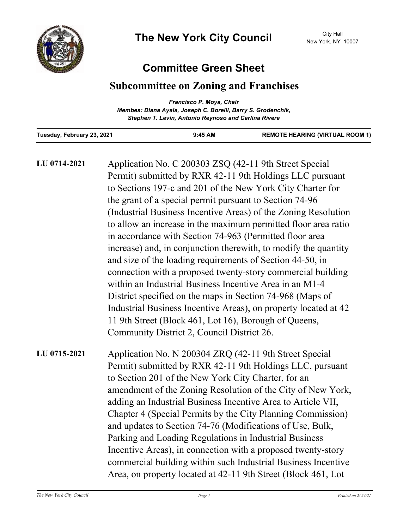

# **Committee Green Sheet**

# **Subcommittee on Zoning and Franchises**

|                                                              | Francisco P. Moya, Chair                             |                                        |
|--------------------------------------------------------------|------------------------------------------------------|----------------------------------------|
| Membes: Diana Ayala, Joseph C. Borelli, Barry S. Grodenchik, |                                                      |                                        |
|                                                              | Stephen T. Levin, Antonio Reynoso and Carlina Rivera |                                        |
| Tuesday, February 23, 2021                                   | $9:45$ AM                                            | <b>REMOTE HEARING (VIRTUAL ROOM 1)</b> |

| LU 0714-2021 | Application No. C 200303 ZSQ (42-11 9th Street Special<br>Permit) submitted by RXR 42-11 9th Holdings LLC pursuant<br>to Sections 197-c and 201 of the New York City Charter for<br>the grant of a special permit pursuant to Section 74-96<br>(Industrial Business Incentive Areas) of the Zoning Resolution<br>to allow an increase in the maximum permitted floor area ratio<br>in accordance with Section 74-963 (Permitted floor area<br>increase) and, in conjunction therewith, to modify the quantity<br>and size of the loading requirements of Section 44-50, in<br>connection with a proposed twenty-story commercial building<br>within an Industrial Business Incentive Area in an M1-4<br>District specified on the maps in Section 74-968 (Maps of<br>Industrial Business Incentive Areas), on property located at 42<br>11 9th Street (Block 461, Lot 16), Borough of Queens,<br>Community District 2, Council District 26. |
|--------------|---------------------------------------------------------------------------------------------------------------------------------------------------------------------------------------------------------------------------------------------------------------------------------------------------------------------------------------------------------------------------------------------------------------------------------------------------------------------------------------------------------------------------------------------------------------------------------------------------------------------------------------------------------------------------------------------------------------------------------------------------------------------------------------------------------------------------------------------------------------------------------------------------------------------------------------------|
| LU 0715-2021 | Application No. N 200304 ZRQ (42-11 9th Street Special<br>Permit) submitted by RXR 42-11 9th Holdings LLC, pursuant<br>to Section 201 of the New York City Charter, for an<br>amendment of the Zoning Resolution of the City of New York,<br>adding an Industrial Business Incentive Area to Article VII,<br>Chapter 4 (Special Permits by the City Planning Commission)<br>and updates to Section 74-76 (Modifications of Use, Bulk,<br>Parking and Loading Regulations in Industrial Business<br>Incentive Areas), in connection with a proposed twenty-story<br>commercial building within such Industrial Business Incentive<br>Area, on property located at 42-11 9th Street (Block 461, Lot                                                                                                                                                                                                                                           |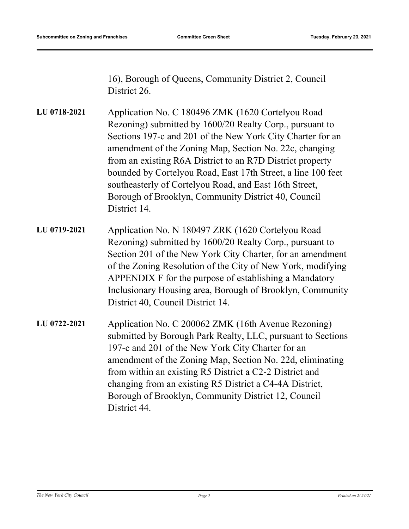16), Borough of Queens, Community District 2, Council District 26.

Application No. C 180496 ZMK (1620 Cortelyou Road Rezoning) submitted by 1600/20 Realty Corp., pursuant to Sections 197-c and 201 of the New York City Charter for an amendment of the Zoning Map, Section No. 22c, changing from an existing R6A District to an R7D District property bounded by Cortelyou Road, East 17th Street, a line 100 feet southeasterly of Cortelyou Road, and East 16th Street, Borough of Brooklyn, Community District 40, Council District 14. **LU 0718-2021**

- Application No. N 180497 ZRK (1620 Cortelyou Road Rezoning) submitted by 1600/20 Realty Corp., pursuant to Section 201 of the New York City Charter, for an amendment of the Zoning Resolution of the City of New York, modifying APPENDIX F for the purpose of establishing a Mandatory Inclusionary Housing area, Borough of Brooklyn, Community District 40, Council District 14. **LU 0719-2021**
- Application No. C 200062 ZMK (16th Avenue Rezoning) submitted by Borough Park Realty, LLC, pursuant to Sections 197-c and 201 of the New York City Charter for an amendment of the Zoning Map, Section No. 22d, eliminating from within an existing R5 District a C2-2 District and changing from an existing R5 District a C4-4A District, Borough of Brooklyn, Community District 12, Council District 44. **LU 0722-2021**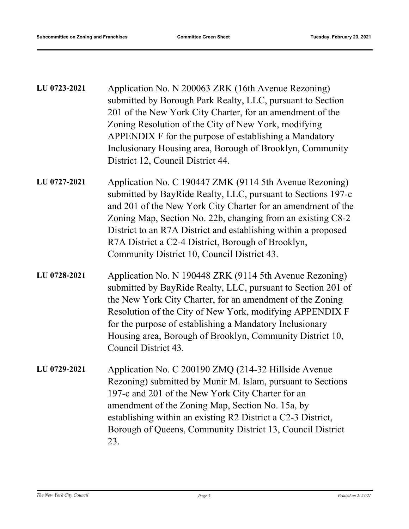| LU 0723-2021 | Application No. N 200063 ZRK (16th Avenue Rezoning)        |
|--------------|------------------------------------------------------------|
|              | submitted by Borough Park Realty, LLC, pursuant to Section |
|              | 201 of the New York City Charter, for an amendment of the  |
|              | Zoning Resolution of the City of New York, modifying       |
|              | APPENDIX F for the purpose of establishing a Mandatory     |
|              | Inclusionary Housing area, Borough of Brooklyn, Community  |
|              | District 12, Council District 44.                          |

- Application No. C 190447 ZMK (9114 5th Avenue Rezoning) submitted by BayRide Realty, LLC, pursuant to Sections 197-c and 201 of the New York City Charter for an amendment of the Zoning Map, Section No. 22b, changing from an existing C8-2 District to an R7A District and establishing within a proposed R7A District a C2-4 District, Borough of Brooklyn, Community District 10, Council District 43. **LU 0727-2021**
- Application No. N 190448 ZRK (9114 5th Avenue Rezoning) submitted by BayRide Realty, LLC, pursuant to Section 201 of the New York City Charter, for an amendment of the Zoning Resolution of the City of New York, modifying APPENDIX F for the purpose of establishing a Mandatory Inclusionary Housing area, Borough of Brooklyn, Community District 10, Council District 43. **LU 0728-2021**
- Application No. C 200190 ZMQ (214-32 Hillside Avenue Rezoning) submitted by Munir M. Islam, pursuant to Sections 197-c and 201 of the New York City Charter for an amendment of the Zoning Map, Section No. 15a, by establishing within an existing R2 District a C2-3 District, Borough of Queens, Community District 13, Council District 23. **LU 0729-2021**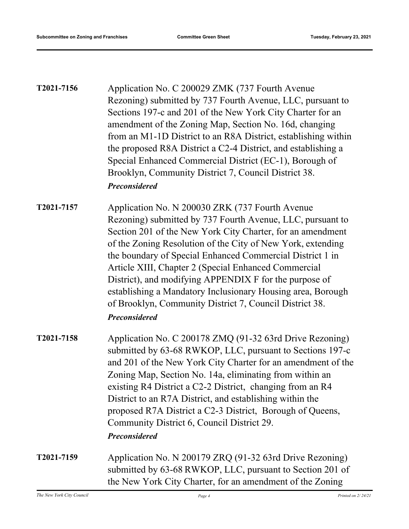| T2021-7156 | Application No. C 200029 ZMK (737 Fourth Avenue<br>Rezoning) submitted by 737 Fourth Avenue, LLC, pursuant to<br>Sections 197-c and 201 of the New York City Charter for an<br>amendment of the Zoning Map, Section No. 16d, changing<br>from an M1-1D District to an R8A District, establishing within<br>the proposed R8A District a C2-4 District, and establishing a<br>Special Enhanced Commercial District (EC-1), Borough of<br>Brooklyn, Community District 7, Council District 38.<br><b>Preconsidered</b>                                                         |
|------------|-----------------------------------------------------------------------------------------------------------------------------------------------------------------------------------------------------------------------------------------------------------------------------------------------------------------------------------------------------------------------------------------------------------------------------------------------------------------------------------------------------------------------------------------------------------------------------|
| T2021-7157 | Application No. N 200030 ZRK (737 Fourth Avenue<br>Rezoning) submitted by 737 Fourth Avenue, LLC, pursuant to<br>Section 201 of the New York City Charter, for an amendment<br>of the Zoning Resolution of the City of New York, extending<br>the boundary of Special Enhanced Commercial District 1 in<br>Article XIII, Chapter 2 (Special Enhanced Commercial<br>District), and modifying APPENDIX F for the purpose of<br>establishing a Mandatory Inclusionary Housing area, Borough<br>of Brooklyn, Community District 7, Council District 38.<br><b>Preconsidered</b> |
| T2021-7158 | Application No. C 200178 ZMQ (91-32 63rd Drive Rezoning)<br>submitted by 63-68 RWKOP, LLC, pursuant to Sections 197-c<br>and 201 of the New York City Charter for an amendment of the<br>Zoning Map, Section No. 14a, eliminating from within an<br>existing R4 District a C2-2 District, changing from an R4<br>District to an R7A District, and establishing within the<br>proposed R7A District a C2-3 District, Borough of Queens,<br>Community District 6, Council District 29.<br><b>Preconsidered</b>                                                                |
| T2021-7159 | Application No. N 200179 ZRQ (91-32 63rd Drive Rezoning)<br>submitted by 63-68 RWKOP, LLC, pursuant to Section 201 of<br>the New York City Charter, for an amendment of the Zoning                                                                                                                                                                                                                                                                                                                                                                                          |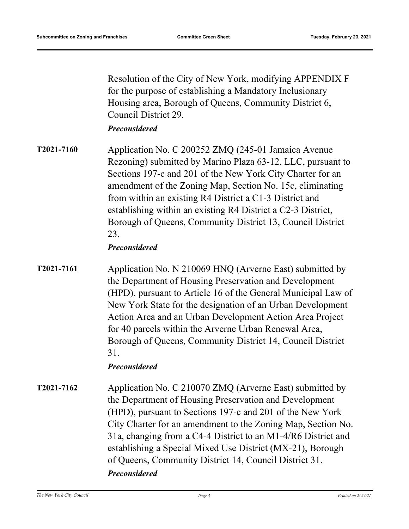Resolution of the City of New York, modifying APPENDIX F for the purpose of establishing a Mandatory Inclusionary Housing area, Borough of Queens, Community District 6, Council District 29.

#### *Preconsidered*

Application No. C 200252 ZMQ (245-01 Jamaica Avenue Rezoning) submitted by Marino Plaza 63-12, LLC, pursuant to Sections 197-c and 201 of the New York City Charter for an amendment of the Zoning Map, Section No. 15c, eliminating from within an existing R4 District a C1-3 District and establishing within an existing R4 District a C2-3 District, Borough of Queens, Community District 13, Council District 23. **T2021-7160**

## *Preconsidered*

Application No. N 210069 HNQ (Arverne East) submitted by the Department of Housing Preservation and Development (HPD), pursuant to Article 16 of the General Municipal Law of New York State for the designation of an Urban Development Action Area and an Urban Development Action Area Project for 40 parcels within the Arverne Urban Renewal Area, Borough of Queens, Community District 14, Council District 31. **T2021-7161**

## *Preconsidered*

Application No. C 210070 ZMQ (Arverne East) submitted by the Department of Housing Preservation and Development (HPD), pursuant to Sections 197-c and 201 of the New York City Charter for an amendment to the Zoning Map, Section No. 31a, changing from a C4-4 District to an M1-4/R6 District and establishing a Special Mixed Use District (MX-21), Borough of Queens, Community District 14, Council District 31. **T2021-7162** *Preconsidered*